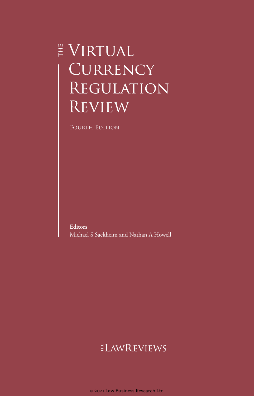## $\sharp$  VIRTUAL **CURRENCY REGULATION REVIEW**

Fourth Edition

**Editors** Michael S Sackheim and Nathan A Howell

## ELAWREVIEWS

© 2021 Law Business Research Ltd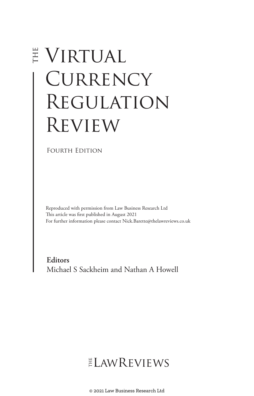# E VIRTUAL **CURRENCY** Regulation Review

FOURTH EDITION

Reproduced with permission from Law Business Research Ltd This article was first published in August 2021 For further information please contact Nick.Barette@thelawreviews.co.uk

**Editors** Michael S Sackheim and Nathan A Howell

## ELAWREVIEWS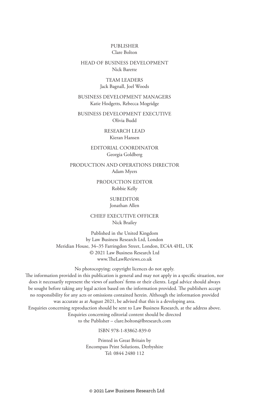#### PUBLISHER Clare Bolton

#### HEAD OF BUSINESS DEVELOPMENT Nick Barette

#### TEAM LEADERS Jack Bagnall, Joel Woods

#### BUSINESS DEVELOPMENT MANAGERS Katie Hodgetts, Rebecca Mogridge

BUSINESS DEVELOPMENT EXECUTIVE Olivia Budd

> RESEARCH LEAD Kieran Hansen

#### EDITORIAL COORDINATOR Georgia Goldberg

PRODUCTION AND OPERATIONS DIRECTOR Adam Myers

> PRODUCTION EDITOR Robbie Kelly

#### SUBEDITOR Jonathan Allen

#### CHIEF EXECUTIVE OFFICER Nick Brailey

Published in the United Kingdom by Law Business Research Ltd, London Meridian House, 34–35 Farringdon Street, London, EC4A 4HL, UK © 2021 Law Business Research Ltd www.TheLawReviews.co.uk

No photocopying: copyright licences do not apply. The information provided in this publication is general and may not apply in a specific situation, nor does it necessarily represent the views of authors' firms or their clients. Legal advice should always be sought before taking any legal action based on the information provided. The publishers accept no responsibility for any acts or omissions contained herein. Although the information provided was accurate as at August 2021, be advised that this is a developing area. Enquiries concerning reproduction should be sent to Law Business Research, at the address above. Enquiries concerning editorial content should be directed to the Publisher – clare.bolton@lbresearch.com

#### ISBN 978-1-83862-839-0

Printed in Great Britain by Encompass Print Solutions, Derbyshire Tel: 0844 2480 112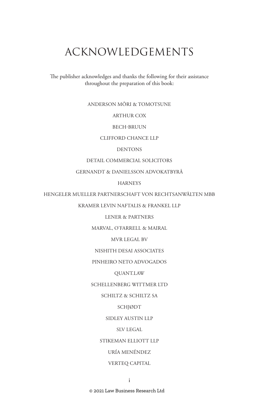## ACKNOWLEDGEMENTS

The publisher acknowledges and thanks the following for their assistance throughout the preparation of this book:

#### ANDERSON MŌRI & TOMOTSUNE

ARTHUR COX

BECH-BRUUN

CLIFFORD CHANCE LLP

#### DENTONS

#### DETAIL COMMERCIAL SOLICITORS

GERNANDT & DANIELSSON ADVOKATBYRÅ

**HARNEYS** 

HENGELER MUELLER PARTNERSCHAFT VON RECHTSANWÄLTEN MBB

KRAMER LEVIN NAFTALIS & FRANKEL LLP

LENER & PARTNERS

MARVAL, O'FARRELL & MAIRAL

MVR LEGAL BV

NISHITH DESAI ASSOCIATES

PINHEIRO NETO ADVOGADOS

QUANT.LAW

SCHELLENBERG WITTMER LTD

SCHILTZ & SCHILTZ SA

SCHJØDT

SIDLEY AUSTIN LLP

#### SLV LEGAL

STIKEMAN ELLIOTT LLP

URÍA MENÉNDEZ

#### VERTEQ CAPITAL

© 2021 Law Business Research Ltd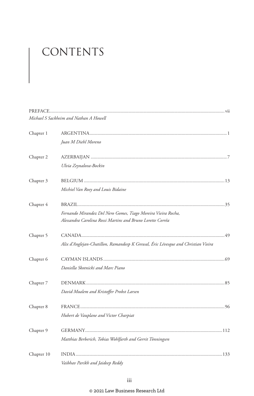# CONTENTS

|            | Michael S Sackheim and Nathan A Howell                                            |
|------------|-----------------------------------------------------------------------------------|
| Chapter 1  |                                                                                   |
|            | Juan M Diehl Moreno                                                               |
| Chapter 2  |                                                                                   |
|            | Ulvia Zeynalova-Bockin                                                            |
| Chapter 3  |                                                                                   |
|            | Michiel Van Roey and Louis Bidaine                                                |
| Chapter 4  |                                                                                   |
|            | Fernando Mirandez Del Nero Gomes, Tiago Moreira Vieira Rocha,                     |
|            | Alessandra Carolina Rossi Martins and Bruno Lorette Corrêa                        |
| Chapter 5  |                                                                                   |
|            | Alix d'Anglejan-Chatillon, Ramandeep K Grewal, Éric Lévesque and Christian Vieira |
| Chapter 6  |                                                                                   |
|            | Daniella Skotnicki and Marc Piano                                                 |
| Chapter 7  |                                                                                   |
|            | David Moalem and Kristoffer Probst Larsen                                         |
| Chapter 8  |                                                                                   |
|            | Hubert de Vauplane and Victor Charpiat                                            |
| Chapter 9  |                                                                                   |
|            | Matthias Berberich, Tobias Wohlfarth and Gerrit Tönningsen                        |
| Chapter 10 |                                                                                   |
|            | Vaibhav Parikh and Jaideep Reddy                                                  |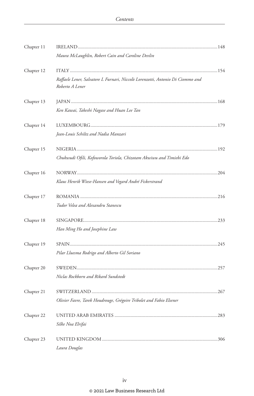| Chapter 11 |                                                                                                   |  |
|------------|---------------------------------------------------------------------------------------------------|--|
|            | Maura McLaughlin, Robert Cain and Caroline Devlin                                                 |  |
| Chapter 12 |                                                                                                   |  |
|            | Raffaele Lener, Salvatore L Furnari, Niccolò Lorenzotti, Antonio Di Ciommo and<br>Roberto A Lener |  |
| Chapter 13 |                                                                                                   |  |
|            | Ken Kawai, Takeshi Nagase and Huan Lee Tan                                                        |  |
| Chapter 14 |                                                                                                   |  |
|            | Jean-Louis Schiltz and Nadia Manzari                                                              |  |
| Chapter 15 |                                                                                                   |  |
|            | Chukwudi Ofili, Kofoworola Toriola, Chizotam Akwiwu and Timiebi Edo                               |  |
| Chapter 16 |                                                                                                   |  |
|            | Klaus Henrik Wiese-Hansen and Vegard André Fiskerstrand                                           |  |
| Chapter 17 |                                                                                                   |  |
|            | Tudor Velea and Alexandru Stanescu                                                                |  |
| Chapter 18 |                                                                                                   |  |
|            | Han Ming Ho and Josephine Law                                                                     |  |
| Chapter 19 |                                                                                                   |  |
|            | Pilar Lluesma Rodrigo and Alberto Gil Soriano                                                     |  |
| Chapter 20 |                                                                                                   |  |
|            | Niclas Rockborn and Rikard Sundstedt                                                              |  |
| Chapter 21 |                                                                                                   |  |
|            | Olivier Favre, Tarek Houdrouge, Grégoire Tribolet and Fabio Elsener                               |  |
| Chapter 22 |                                                                                                   |  |
|            | Silke Noa Elrifai                                                                                 |  |
| Chapter 23 |                                                                                                   |  |
|            | Laura Douglas                                                                                     |  |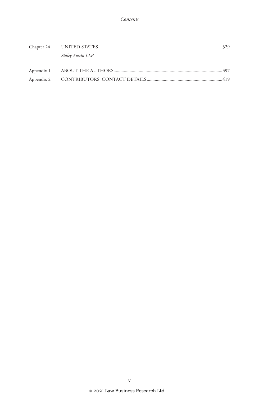|  | Sidley Austin LLP |  |
|--|-------------------|--|
|  |                   |  |
|  |                   |  |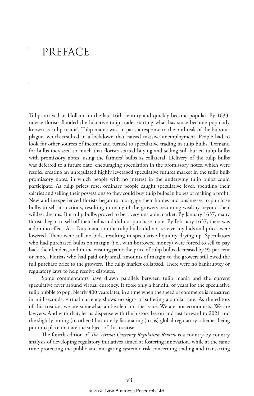## PREFACE

Tulips arrived in Holland in the late 16th century and quickly became popular. By 1633, novice florists flooded the lucrative tulip trade, starting what has since become popularly known as 'tulip mania'. Tulip mania was, in part, a response to the outbreak of the bubonic plague, which resulted in a lockdown that caused massive unemployment. People had to look for other sources of income and turned to speculative trading in tulip bulbs. Demand for bulbs increased so much that florists started buying and selling still-buried tulip bulbs with promissory notes, using the farmers' bulbs as collateral. Delivery of the tulip bulbs was deferred to a future date, encouraging speculation in the promissory notes, which were resold, creating an unregulated highly leveraged speculative futures market in the tulip bulb promissory notes, in which people with no interest in the underlying tulip bulbs could participate. As tulip prices rose, ordinary people caught speculative fever, spending their salaries and selling their possessions so they could buy tulip bulbs in hopes of making a profit. New and inexperienced florists began to mortgage their homes and businesses to purchase bulbs to sell at auctions, resulting in many of the growers becoming wealthy beyond their wildest dreams. But tulip bulbs proved to be a very unstable market. By January 1637, many florists began to sell off their bulbs and did not purchase more. By February 1637, there was a domino effect. At a Dutch auction the tulip bulbs did not receive any bids and prices were lowered. There were still no bids, resulting in speculative liquidity drying up. Speculators who had purchased bulbs on margin (i.e., with borrowed money) were forced to sell to pay back their lenders, and in the ensuing panic the price of tulip bulbs decreased by 95 per cent or more. Florists who had paid only small amounts of margin to the growers still owed the full purchase price to the growers. The tulip market collapsed. There were no bankruptcy or regulatory laws to help resolve disputes.

Some commentators have drawn parallels between tulip mania and the current speculative fever around virtual currency. It took only a handful of years for the speculative tulip bubble to pop. Nearly 400 years later, in a time when the speed of commerce is measured in milliseconds, virtual currency shows no signs of suffering a similar fate. As the editors of this treatise, we are somewhat ambivalent on the issue. We are not economists. We are lawyers. And with that, let us dispense with the history lesson and fast forward to 2021 and the slightly boring (to others) but utterly fascinating (to us) global regulatory schemes being put into place that are the subject of this treatise.

The fourth edition of *The Virtual Currency Regulation Review* is a country-by-country analysis of developing regulatory initiatives aimed at fostering innovation, while at the same time protecting the public and mitigating systemic risk concerning trading and transacting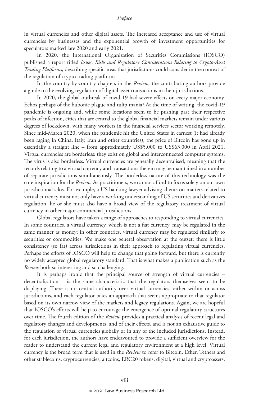in virtual currencies and other digital assets. The increased acceptance and use of virtual currencies by businesses and the exponential growth of investment opportunities for speculators marked late 2020 and early 2021.

In 2020, the International Organization of Securities Commissions (IOSCO) published a report titled *Issues, Risks and Regulatory Considerations Relating to Crypto-Asset Trading Platforms*, describing specific areas that jurisdictions could consider in the context of the regulation of crypto trading platforms.

In the country-by-country chapters in the *Review*, the contributing authors provide a guide to the evolving regulation of digital asset transactions in their jurisdictions.

In 2020, the global outbreak of covid-19 had severe effects on every major economy. Echos perhaps of the bubonic plague and tulip mania? At the time of writing, the covid-19 pandemic is ongoing and, while some locations seem to be pushing past their respective peaks of infection, cities that are central to the global financial markets remain under various degrees of lockdown, with many workers in the financial services sector working remotely. Since mid-March 2020, when the pandemic hit the United States in earnest (it had already been raging in China, Italy, Iran and other countries), the price of Bitcoin has gone up in essentially a straight line – from approximately US\$5,000 to US\$63,000 in April 2021. Virtual currencies are borderless: they exist on global and interconnected computer systems. The virus is also borderless. Virtual currencies are generally decentralised, meaning that the records relating to a virtual currency and transactions therein may be maintained in a number of separate jurisdictions simultaneously. The borderless nature of this technology was the core inspiration for the *Review*. As practitioners, we cannot afford to focus solely on our own jurisdictional silos. For example, a US banking lawyer advising clients on matters related to virtual currency must not only have a working understanding of US securities and derivatives regulation, he or she must also have a broad view of the regulatory treatment of virtual currency in other major commercial jurisdictions.

Global regulators have taken a range of approaches to responding to virtual currencies. In some countries, a virtual currency, which is not a fiat currency, may be regulated in the same manner as money; in other countries, virtual currency may be regulated similarly to securities or commodities. We make one general observation at the outset: there is little consistency (so far) across jurisdictions in their approach to regulating virtual currencies. Perhaps the efforts of IOSCO will help to change that going forward, but there is currently no widely accepted global regulatory standard. That is what makes a publication such as the *Review* both so interesting and so challenging.

It is perhaps ironic that the principal source of strength of virtual currencies – decentralisation – is the same characteristic that the regulators themselves seem to be displaying. There is no central authority over virtual currencies, either within or across jurisdictions, and each regulator takes an approach that seems appropriate to that regulator based on its own narrow view of the markets and legacy regulations. Again, we are hopeful that IOSCO's efforts will help to encourage the emergence of optimal regulatory structures over time. The fourth edition of the *Review* provides a practical analysis of recent legal and regulatory changes and developments, and of their effects, and is not an exhaustive guide to the regulation of virtual currencies globally or in any of the included jurisdictions. Instead, for each jurisdiction, the authors have endeavoured to provide a sufficient overview for the reader to understand the current legal and regulatory environment at a high level. Virtual currency is the broad term that is used in the *Review* to refer to Bitcoin, Ether, Tethers and other stablecoins, cryptocurrencies, altcoins, ERC20 tokens, digital, virtual and cryptoassets,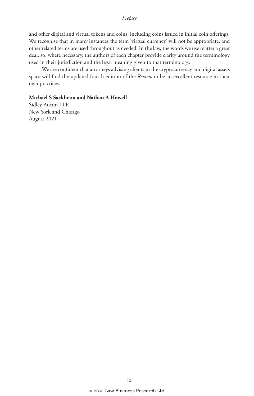and other digital and virtual tokens and coins, including coins issued in initial coin offerings. We recognise that in many instances the term 'virtual currency' will not be appropriate, and other related terms are used throughout as needed. In the law, the words we use matter a great deal, so, where necessary, the authors of each chapter provide clarity around the terminology used in their jurisdiction and the legal meaning given to that terminology.

We are confident that attorneys advising clients in the cryptocurrency and digital assets space will find the updated fourth edition of the *Review* to be an excellent resource in their own practices.

#### **Michael S Sackheim and Nathan A Howell**

Sidley Austin LLP New York and Chicago August 2021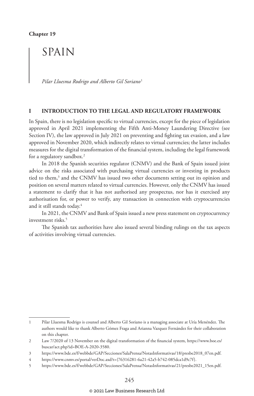## SPAIN

*Pilar Lluesma Rodrigo and Alberto Gil Soriano*<sup>1</sup>

#### **I INTRODUCTION TO THE LEGAL AND REGULATORY FRAMEWORK**

In Spain, there is no legislation specific to virtual currencies, except for the piece of legislation approved in April 2021 implementing the Fifth Anti-Money Laundering Directive (see Section IV), the law approved in July 2021 on preventing and fighting tax evasion, and a law approved in November 2020, which indirectly relates to virtual currencies; the latter includes measures for the digital transformation of the financial system, including the legal framework for a regulatory sandbox.<sup>2</sup>

In 2018 the Spanish securities regulator (CNMV) and the Bank of Spain issued joint advice on the risks associated with purchasing virtual currencies or investing in products tied to them,<sup>3</sup> and the CNMV has issued two other documents setting out its opinion and position on several matters related to virtual currencies. However, only the CNMV has issued a statement to clarify that it has not authorised any prospectus, nor has it exercised any authorisation for, or power to verify, any transaction in connection with cryptocurrencies and it still stands today.<sup>4</sup>

In 2021, the CNMV and Bank of Spain issued a new press statement on cryptocurrency investment risks.<sup>5</sup>

The Spanish tax authorities have also issued several binding rulings on the tax aspects of activities involving virtual currencies.

<sup>1</sup> Pilar Lluesma Rodrigo is counsel and Alberto Gil Soriano is a managing associate at Uría Menéndez. The authors would like to thank Alberto Gómez Fraga and Arianna Vazquez Fernández for their collaboration on this chapter.

<sup>2</sup> Law 7/2020 of 13 November on the digital transformation of the financial system, https://www.boe.es/ buscar/act.php?id=BOE-A-2020-3580.

<sup>3</sup> https://www.bde.es/f/webbde/GAP/Secciones/SalaPrensa/NotasInformativas/18/presbe2018\_07en.pdf.

<sup>4</sup> https://www.cnmv.es/portal/verDoc.axd?t={76316281-6a21-42a5-b742-085dca1d9c7f}.

<sup>5</sup> https://www.bde.es/f/webbde/GAP/Secciones/SalaPrensa/NotasInformativas/21/presbe2021\_15en.pdf.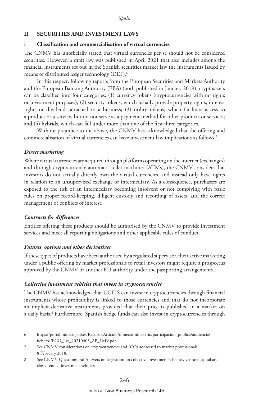#### **II SECURITIES AND INVESTMENT LAWS**

#### **i Classification and commercialisation of virtual currencies**

The CNMV has unofficially stated that virtual currencies per se should not be considered securities. However, a draft law was published in April 2021 that also includes among the financial instruments set out in the Spanish securities market law the instruments issued by means of distributed ledger technology (DLT).6

In this respect, following reports from the European Securities and Markets Authority and the European Banking Authority (EBA) (both published in January 2019), cryptoassets can be classified into four categories: (1) currency tokens (cryptocurrencies with no rights or investment purposes); (2) security tokens, which usually provide property rights, interest rights or dividends attached to a business; (3) utility tokens, which facilitate access to a product or a service, but do not serve as a payment method for other products or services; and (4) hybrids, which can fall under more than one of the first three categories.

Without prejudice to the above, the CNMV has acknowledged that the offering and commercialisation of virtual currencies can have investment law implications as follows.7

#### *Direct marketing*

Where virtual currencies are acquired through platforms operating on the internet (exchanges) and through cryptocurrency automatic teller machines (ATMs), the CNMV considers that investors do not actually directly own the virtual currencies, and instead only have rights in relation to an unsupervised exchange or intermediary. As a consequence, purchasers are exposed to the risk of an intermediary becoming insolvent or not complying with basic rules on proper record-keeping, diligent custody and recording of assets, and the correct management of conflicts of interest.

#### *Contracts for differences*

Entities offering these products should be authorised by the CNMV to provide investment services and meet all reporting obligations and other applicable rules of conduct.

#### *Futures, options and other derivatives*

If these types of products have been authorised by a regulated supervisor, their active marketing under a public offering by market professionals to retail investors might require a prospectus approved by the CNMV or another EU authority under the passporting arrangements.

#### *Collective investment vehicles that invest in cryptocurrencies*

The CNMV has acknowledged that UCITS can invest in cryptocurrencies through financial instruments whose profitability is linked to those currencies and that do not incorporate an implicit derivative instrument, provided that their price is published in a market on a daily basis.8 Furthermore, Spanish hedge funds can also invest in cryptocurrencies through

<sup>6</sup> https://portal.mineco.gob.es/RecursosArticulo/mineco/ministerio/participacion\_publica/audiencia/ ficheros/ECO\_Tes\_20210405\_AP\_LMV.pdf.

<sup>7</sup> See CNMV considerations on cryptocurrencies and ICOs addressed to market professionals, 8 February 2018.

<sup>8</sup> See CNMV Questions and Answers on legislation on collective investment schemes, venture capital and closed-ended investment vehicles.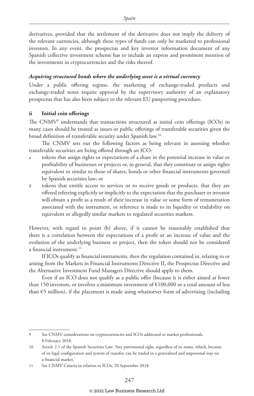derivatives, provided that the settlement of the derivative does not imply the delivery of the relevant currencies, although these types of funds can only be marketed to professional investors. In any event, the prospectus and key investor information document of any Spanish collective investment scheme has to include an express and prominent mention of the investments in cryptocurrencies and the risks thereof.

#### *Acquiring structured bonds where the underlying asset is a virtual currency*

Under a public offering regime, the marketing of exchange-traded products and exchange-traded notes require approval by the supervisory authority of an explanatory prospectus that has also been subject to the relevant EU passporting procedure.

#### **ii Initial coin offerings**

The  $\mathrm{CMM}$ V $^{\circ}$  understands that transactions structured as initial coin offerings (ICOs) in many cases should be treated as issues or public offerings of transferable securities given the broad definition of transferable security under Spanish law.10

The CNMV sets out the following factors as being relevant in assessing whether transferable securities are being offered through an ICO:

- tokens that assign rights or expectations of a share in the potential increase in value or profitability of businesses or projects or, in general, that they constitute or assign rights equivalent or similar to those of shares, bonds or other financial instruments governed by Spanish securities law; or
- *b* tokens that entitle access to services or to receive goods or products, that they are offered referring explicitly or implicitly to the expectation that the purchaser or investor will obtain a profit as a result of their increase in value or some form of remuneration associated with the instrument, or reference is made to its liquidity or tradability on equivalent or allegedly similar markets to regulated securities markets.

However, with regard to point (b) above, if it cannot be reasonably established that there is a correlation between the expectations of a profit or an increase of value and the evolution of the underlying business or project, then the token should not be considered a financial instrument.<sup>11</sup>

If ICOs qualify as financial instruments, then the regulation contained in, relating to or arising from the Markets in Financial Instruments Directive II, the Prospectus Directive and the Alternative Investment Fund Managers Directive should apply to them.

Even if an ICO does not qualify as a public offer (because it is either aimed at fewer than 150 investors, or involves a minimum investment of  $\epsilon$ 100,000 or a total amount of less than  $\epsilon$ 5 million), if the placement is made using whatsoever form of advertising (including

<sup>9</sup> See CNMV considerations on cryptocurrencies and ICOs addressed to market professionals, 8 February 2018.

<sup>10</sup> Article 2.1 of the Spanish Securities Law: 'Any patrimonial right, regardless of its name, which, because of its legal configuration and system of transfer, can be traded in a generalised and impersonal way on a financial market.'

<sup>11</sup> See CNMV Criteria in relation to ICOs, 20 September 2018.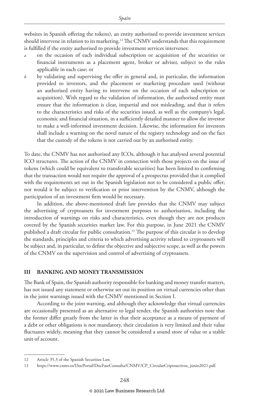websites in Spanish offering the tokens), an entity authorised to provide investment services should intervene in relation to its marketing.12 The CNMV understands that this requirement is fulfilled if the entity authorised to provide investment services intervenes:

- *a* on the occasion of each individual subscription or acquisition of the securities or financial instruments as a placement agent, broker or adviser, subject to the rules applicable in each case; or
- *b* by validating and supervising the offer in general and, in particular, the information provided to investors, and the placement or marketing procedure used (without an authorised entity having to intervene on the occasion of each subscription or acquisition). With regard to the validation of information, the authorised entity must ensure that the information is clear, impartial and not misleading, and that it refers to the characteristics and risks of the securities issued, as well as the company's legal, economic and financial situation, in a sufficiently detailed manner to allow the investor to make a well-informed investment decision. Likewise, the information for investors shall include a warning on the novel nature of the registry technology and on the fact that the custody of the tokens is not carried out by an authorised entity.

To date, the CNMV has not authorised any ICOs, although it has analysed several potential ICO structures. The action of the CNMV in connection with those projects on the issue of tokens (which could be equivalent to transferable securities) has been limited to confirming that the transaction would not require the approval of a prospectus provided that it complied with the requirements set out in the Spanish legislation not to be considered a public offer; nor would it be subject to verification or prior intervention by the CNMV, although the participation of an investment firm would be necessary.

In addition, the above-mentioned draft law provides that the CNMV may subject the advertising of cryptoassets for investment purposes to authorisation, including the introduction of warnings on risks and characteristics, even though they are not products covered by the Spanish securities market law. For this purpose, in June 2021 the CNMV published a draft circular for public consultation.13 The purpose of this circular is to develop the standards, principles and criteria to which advertising activity related to cryptoassets will be subject and, in particular, to define the objective and subjective scope, as well as the powers of the CNMV on the supervision and control of advertising of cryptoassets.

#### **III BANKING AND MONEY TRANSMISSION**

The Bank of Spain, the Spanish authority responsible for banking and money transfer matters, has not issued any statement or otherwise set out its position on virtual currencies other than in the joint warnings issued with the CNMV mentioned in Section I.

According to the joint warning, and although they acknowledge that virtual currencies are occasionally presented as an alternative to legal tender, the Spanish authorities note that the former differ greatly from the latter in that their acceptance as a means of payment of a debt or other obligations is not mandatory, their circulation is very limited and their value fluctuates widely, meaning that they cannot be considered a sound store of value or a stable unit of account.

<sup>12</sup> Article 35.3 of the Spanish Securities Law.

<sup>13</sup> https://www.cnmv.es/DocPortal/DocFaseConsulta/CNMV/CP\_CircularCriptoactivos\_junio2021.pdf.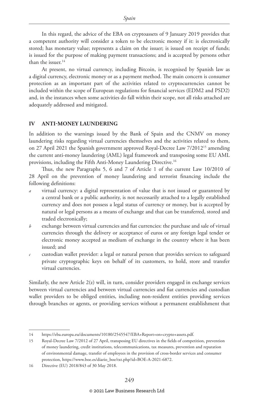In this regard, the advice of the EBA on cryptoassets of 9 January 2019 provides that a competent authority will consider a token to be electronic money if it: is electronically stored; has monetary value; represents a claim on the issuer; is issued on receipt of funds; is issued for the purpose of making payment transactions; and is accepted by persons other than the issuer.14

At present, no virtual currency, including Bitcoin, is recognised by Spanish law as a digital currency, electronic money or as a payment method. The main concern is consumer protection as an important part of the activities related to cryptocurrencies cannot be included within the scope of European regulations for financial services (EDM2 and PSD2) and, in the instances when some activities do fall within their scope, not all risks attached are adequately addressed and mitigated.

#### **IV ANTI-MONEY LAUNDERING**

In addition to the warnings issued by the Bank of Spain and the CNMV on money laundering risks regarding virtual currencies themselves and the activities related to them, on 27 April 2021 the Spanish government approved Royal-Decree Law 7/201215 amending the current anti-money laundering (AML) legal framework and transposing some EU AML provisions, including the Fifth Anti-Money Laundering Directive.16

Thus, the new Paragraphs 5, 6 and 7 of Article 1 of the current Law 10/2010 of 28 April on the prevention of money laundering and terrorist financing include the following definitions:

- *a* virtual currency: a digital representation of value that is not issued or guaranteed by a central bank or a public authority, is not necessarily attached to a legally established currency and does not possess a legal status of currency or money, but is accepted by natural or legal persons as a means of exchange and that can be transferred, stored and traded electronically;
- *b* exchange between virtual currencies and fiat currencies: the purchase and sale of virtual currencies through the delivery or acceptance of euros or any foreign legal tender or electronic money accepted as medium of exchange in the country where it has been issued; and
- *c* custodian wallet provider: a legal or natural person that provides services to safeguard private cryptographic keys on behalf of its customers, to hold, store and transfer virtual currencies.

Similarly, the new Article  $2(z)$  will, in turn, consider providers engaged in exchange services between virtual currencies and between virtual currencies and fiat currencies and custodian wallet providers to be obliged entities, including non-resident entities providing services through branches or agents, or providing services without a permanent establishment that

<sup>14</sup> https://eba.europa.eu/documents/10180/2545547/EBA+Report+on+crypto+assets.pdf.

<sup>15</sup> Royal-Decree Law 7/2012 of 27 April, transposing EU directives in the fields of competition, prevention of money laundering, credit institutions, telecommunications, tax measures, prevention and reparation of environmental damage, transfer of employees in the provision of cross-border services and consumer protection, https://www.boe.es/diario\_boe/txt.php?id=BOE-A-2021-6872.

<sup>16</sup> Directive (EU) 2018/843 of 30 May 2018.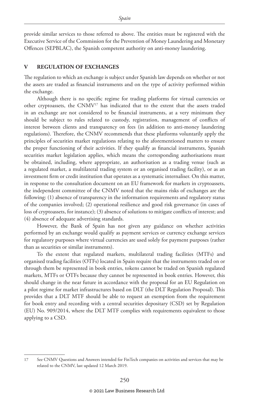provide similar services to those referred to above. The entities must be registered with the Executive Service of the Commission for the Prevention of Money Laundering and Monetary Offences (SEPBLAC), the Spanish competent authority on anti-money laundering.

#### **V REGULATION OF EXCHANGES**

The regulation to which an exchange is subject under Spanish law depends on whether or not the assets are traded as financial instruments and on the type of activity performed within the exchange.

Although there is no specific regime for trading platforms for virtual currencies or other cryptoassets, the CNMV17 has indicated that to the extent that the assets traded in an exchange are not considered to be financial instruments, at a very minimum they should be subject to rules related to custody, registration, management of conflicts of interest between clients and transparency on fees (in addition to anti-money laundering regulations). Therefore, the CNMV recommends that these platforms voluntarily apply the principles of securities market regulations relating to the aforementioned matters to ensure the proper functioning of their activities. If they qualify as financial instruments, Spanish securities market legislation applies, which means the corresponding authorisations must be obtained, including, where appropriate, an authorisation as a trading venue (such as a regulated market, a multilateral trading system or an organised trading facility), or as an investment firm or credit institution that operates as a systematic internaliser. On this matter, in response to the consultation document on an EU framework for markets in cryptoassets, the independent committee of the CNMV noted that the mains risks of exchanges are the following: (1) absence of transparency in the information requirements and regulatory status of the companies involved; (2) operational resilience and good risk governance (in cases of loss of cryptoassets, for instance); (3) absence of solutions to mitigate conflicts of interest; and (4) absence of adequate advertising standards.

However, the Bank of Spain has not given any guidance on whether activities performed by an exchange would qualify as payment services or currency exchange services for regulatory purposes where virtual currencies are used solely for payment purposes (rather than as securities or similar instruments).

To the extent that regulated markets, multilateral trading facilities (MTFs) and organised trading facilities (OTFs) located in Spain require that the instruments traded on or through them be represented in book entries, tokens cannot be traded on Spanish regulated markets, MTFs or OTFs because they cannot be represented in book entries. However, this should change in the near future in accordance with the proposal for an EU Regulation on a pilot regime for market infrastructures based on DLT (the DLT Regulation Proposal). This provides that a DLT MTF should be able to request an exemption from the requirement for book entry and recording with a central securities depositary (CSD) set by Regulation (EU) No. 909/2014, where the DLT MTF complies with requirements equivalent to those applying to a CSD.

<sup>17</sup> See CNMV Questions and Answers intended for FinTech companies on activities and services that may be related to the CNMV, last updated 12 March 2019.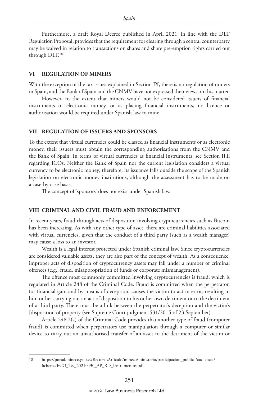Furthermore, a draft Royal Decree published in April 2021, in line with the DLT Regulation Proposal, provides that the requirement for clearing through a central counterparty may be waived in relation to transactions on shares and share pre-emption rights carried out through DLT.18

#### **VI REGULATION OF MINERS**

With the exception of the tax issues explained in Section IX, there is no regulation of miners in Spain, and the Bank of Spain and the CNMV have not expressed their views on this matter.

However, to the extent that miners would not be considered issuers of financial instruments or electronic money, or as placing financial instruments, no licence or authorisation would be required under Spanish law to mine.

#### **VII REGULATION OF ISSUERS AND SPONSORS**

To the extent that virtual currencies could be classed as financial instruments or as electronic money, their issuers must obtain the corresponding authorisations from the CNMV and the Bank of Spain. In terms of virtual currencies as financial instruments, see Section II.ii regarding ICOs. Neither the Bank of Spain nor the current legislation considers a virtual currency to be electronic money; therefore, its issuance falls outside the scope of the Spanish legislation on electronic money institutions, although the assessment has to be made on a case-by-case basis.

The concept of 'sponsors' does not exist under Spanish law.

#### **VIII CRIMINAL AND CIVIL FRAUD AND ENFORCEMENT**

In recent years, fraud through acts of disposition involving cryptocurrencies such as Bitcoin has been increasing. As with any other type of asset, there are criminal liabilities associated with virtual currencies, given that the conduct of a third party (such as a wealth manager) may cause a loss to an investor.

Wealth is a legal interest protected under Spanish criminal law. Since cryptocurrencies are considered valuable assets, they are also part of the concept of wealth. As a consequence, improper acts of disposition of cryptocurrency assets may fall under a number of criminal offences (e.g., fraud, misappropriation of funds or corporate mismanagement).

The offence most commonly committed involving cryptocurrencies is fraud, which is regulated in Article 248 of the Criminal Code. Fraud is committed when the perpetrator, for financial gain and by means of deception, causes the victim to act in error, resulting in him or her carrying out an act of disposition to his or her own detriment or to the detriment of a third party. There must be a link between the perpetrator's deception and the victim's [disposition of property (see Supreme Court judgment 531/2015 of 23 September).

Article 248.2(a) of the Criminal Code provides that another type of fraud (computer fraud) is committed when perpetrators use manipulation through a computer or similar device to carry out an unauthorised transfer of an asset to the detriment of the victim or

<sup>18</sup> https://portal.mineco.gob.es/RecursosArticulo/mineco/ministerio/participacion\_publica/audiencia/ ficheros/ECO\_Tes\_20210430\_AP\_RD\_Instrumentos.pdf.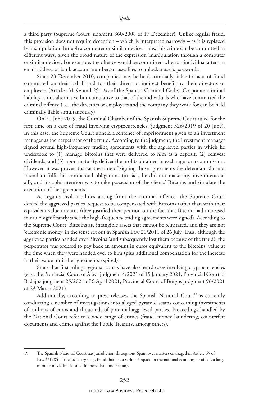a third party (Supreme Court judgment 860/2008 of 17 December). Unlike regular fraud, this provision does not require deception – which is interpreted narrowly – as it is replaced by manipulation through a computer or similar device. Thus, this crime can be committed in different ways, given the broad nature of the expression 'manipulation through a computer or similar device'. For example, the offence would be committed when an individual alters an email address or bank account number, or uses files to unlock a user's passwords.

Since 23 December 2010, companies may be held criminally liable for acts of fraud committed on their behalf and for their direct or indirect benefit by their directors or employees (Articles 31 *bis* and 251 *bis* of the Spanish Criminal Code). Corporate criminal liability is not alternative but cumulative to that of the individuals who have committed the criminal offence (i.e., the directors or employees and the company they work for can be held criminally liable simultaneously).

On 20 June 2019, the Criminal Chamber of the Spanish Supreme Court ruled for the first time on a case of fraud involving cryptocurrencies (judgment 326/2019 of 20 June). In this case, the Supreme Court upheld a sentence of imprisonment given to an investment manager as the perpetrator of the fraud. According to the judgment, the investment manager signed several high-frequency trading agreements with the aggrieved parties in which he undertook to (1) manage Bitcoins that were delivered to him as a deposit, (2) reinvest dividends, and (3) upon maturity, deliver the profits obtained in exchange for a commission. However, it was proven that at the time of signing those agreements the defendant did not intend to fulfil his contractual obligations (in fact, he did not make any investments at all), and his sole intention was to take possession of the clients' Bitcoins and simulate the execution of the agreements.

As regards civil liabilities arising from the criminal offence, the Supreme Court denied the aggrieved parties' request to be compensated with Bitcoins rather than with their equivalent value in euros (they justified their petition on the fact that Bitcoin had increased in value significantly since the high-frequency trading agreements were signed). According to the Supreme Court, Bitcoins are intangible assets that cannot be reinstated, and they are not 'electronic money' in the sense set out in Spanish Law 21/2011 of 26 July. Thus, although the aggrieved parties handed over Bitcoins (and subsequently lost them because of the fraud), the perpetrator was ordered to pay back an amount in euros equivalent to the Bitcoins' value at the time when they were handed over to him (plus additional compensation for the increase in their value until the agreements expired).

Since that first ruling, regional courts have also heard cases involving cryptocurrencies (e.g., the Provincial Court of Álava judgment 4/2021 of 15 January 2021; Provincial Court of Badajoz judgment 25/2021 of 6 April 2021; Provincial Court of Burgos judgment 96/2021 of 23 March 2021).

Additionally, according to press releases, the Spanish National Court<sup>19</sup> is currently conducting a number of investigations into alleged pyramid scams concerning investments of millions of euros and thousands of potential aggrieved parties. Proceedings handled by the National Court refer to a wide range of crimes (fraud, money laundering, counterfeit documents and crimes against the Public Treasury, among others).

<sup>19</sup> The Spanish National Court has jurisdiction throughout Spain over matters envisaged in Article 65 of Law 6/1985 of the judiciary (e.g., fraud that has a serious impact on the national economy or affects a large number of victims located in more than one region).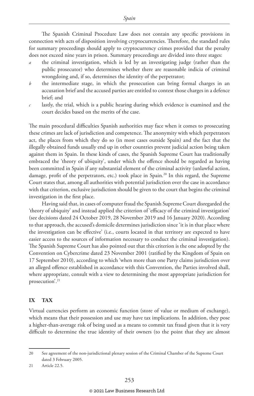The Spanish Criminal Procedure Law does not contain any specific provisions in connection with acts of disposition involving cryptocurrencies. Therefore, the standard rules for summary proceedings should apply to cryptocurrency crimes provided that the penalty does not exceed nine years in prison. Summary proceedings are divided into three stages:

- the criminal investigation, which is led by an investigating judge (rather than the public prosecutor) who determines whether there are reasonable indicia of criminal wrongdoing and, if so, determines the identity of the perpetrator;
- *b* the intermediate stage, in which the prosecution can bring formal charges in an accusation brief and the accused parties are entitled to contest those charges in a defence brief; and
- lastly, the trial, which is a public hearing during which evidence is examined and the court decides based on the merits of the case.

The main procedural difficulties Spanish authorities may face when it comes to prosecuting these crimes are lack of jurisdiction and competence. The anonymity with which perpetrators act, the places from which they do so (in most cases outside Spain) and the fact that the illegally obtained funds usually end up in other countries prevent judicial action being taken against them in Spain. In these kinds of cases, the Spanish Supreme Court has traditionally embraced the 'theory of ubiquity', under which the offence should be regarded as having been committed in Spain if any substantial element of the criminal activity (unlawful action, damage, profit of the perpetrators, etc.) took place in Spain.<sup>20</sup> In this regard, the Supreme Court states that, among all authorities with potential jurisdiction over the case in accordance with that criterion, exclusive jurisdiction should be given to the court that begins the criminal investigation in the first place.

Having said that, in cases of computer fraud the Spanish Supreme Court disregarded the 'theory of ubiquity' and instead applied the criterion of 'efficacy of the criminal investigation' (see decisions dated 24 October 2019, 28 November 2019 and 16 January 2020). According to that approach, the accused's domicile determines jurisdiction since 'it is in that place where the investigation can be effective' (i.e., courts located in that territory are expected to have easier access to the sources of information necessary to conduct the criminal investigation). The Spanish Supreme Court has also pointed out that this criterion is the one adopted by the Convention on Cybercrime dated 23 November 2001 (ratified by the Kingdom of Spain on 17 September 2010), according to which 'when more than one Party claims jurisdiction over an alleged offence established in accordance with this Convention, the Parties involved shall, where appropriate, consult with a view to determining the most appropriate jurisdiction for prosecution'.<sup>21</sup>

#### **IX TAX**

Virtual currencies perform an economic function (store of value or medium of exchange), which means that their possession and use may have tax implications. In addition, they pose a higher-than-average risk of being used as a means to commit tax fraud given that it is very difficult to determine the true identity of their owners (to the point that they are almost

<sup>20</sup> See agreement of the non-jurisdictional plenary session of the Criminal Chamber of the Supreme Court dated 3 February 2005.

<sup>21</sup> Article 22.5.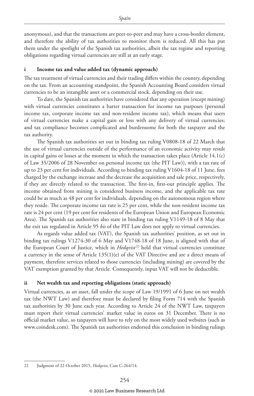anonymous), and that the transactions are peer-to-peer and may have a cross-border element, and therefore the ability of tax authorities to monitor them is reduced. All this has put them under the spotlight of the Spanish tax authorities, albeit the tax regime and reporting obligations regarding virtual currencies are still at an early stage.

#### **i Income tax and value added tax (dynamic approach)**

The tax treatment of virtual currencies and their trading differs within the country, depending on the tax. From an accounting standpoint, the Spanish Accounting Board considers virtual currencies to be an intangible asset or a commercial stock, depending on their use.

To date, the Spanish tax authorities have considered that any operation (except mining) with virtual currencies constitutes a barter transaction for income tax purposes (personal income tax, corporate income tax and non-resident income tax), which means that users of virtual currencies make a capital gain or loss with any delivery of virtual currencies; and tax compliance becomes complicated and burdensome for both the taxpayer and the tax authority.

The Spanish tax authorities set out in binding tax ruling V0808-18 of 22 March that the use of virtual currencies outside of the performance of an economic activity may result in capital gains or losses at the moment in which the transaction takes place (Article 14.1(c) of Law 35/2006 of 28 November on personal income tax (the PIT Law)), with a tax rate of up to 23 per cent for individuals. According to binding tax ruling V1604-18 of 11 June, fees charged by the exchange increase and the decrease the acquisition and sale price, respectively, if they are directly related to the transaction. The first-in, first-out principle applies. The income obtained from mining is considered business income, and the applicable tax rate could be as much as 48 per cent for individuals, depending on the autonomous region where they reside. The corporate income tax rate is 25 per cent, while the non-resident income tax rate is 24 per cent (19 per cent for residents of the European Union and European Economic Area). The Spanish tax authorities also state in binding tax ruling V1149-18 of 8 May that the exit tax regulated in Article 95 *bis* of the PIT Law does not apply to virtual currencies.

As regards value added tax (VAT), the Spanish tax authorities' position, as set out in binding tax rulings V1274-30 of 6 May and V1748-18 of 18 June, is aligned with that of the European Court of Justice, which in *Hedqvist* 22 held that virtual currencies constitute a currency in the sense of Article 135(1)(e) of the VAT Directive and are a direct means of payment, therefore services related to those currencies (including mining) are covered by the VAT exemption granted by that Article. Consequently, input VAT will not be deductible.

#### **ii Net wealth tax and reporting obligations (static approach)**

Virtual currencies, as an asset, fall under the scope of Law 19/1991 of 6 June on net wealth tax (the NWT Law) and therefore must be declared by filing Form 714 with the Spanish tax authorities by 30 June each year. According to Article 24 of the NWT Law, taxpayers must report their virtual currencies' market value in euros on 31 December. There is no official market value, so taxpayers will have to rely on the most widely used websites (such as www.coindesk.com). The Spanish tax authorities endorsed this conclusion in binding rulings

<sup>22</sup> Judgment of 22 October 2015, *Hedqvist*, Case C-264/14.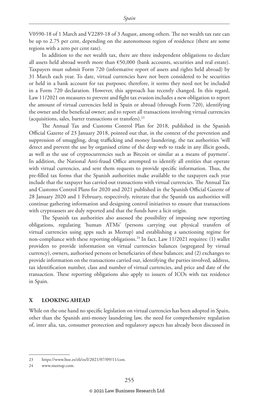V0590-18 of 1 March and V2289-18 of 3 August, among others. The net wealth tax rate can be up to 2.75 per cent, depending on the autonomous region of residence (there are some regions with a zero per cent rate).

In addition to the net wealth tax, there are three independent obligations to declare all assets held abroad worth more than  $€50,000$  (bank accounts, securities and real estate). Taxpayers must submit Form 720 (informative report of assets and rights held abroad) by 31 March each year. To date, virtual currencies have not been considered to be securities or held in a bank account for tax purposes; therefore, it seems they need not be included in a Form 720 declaration. However, this approach has recently changed. In this regard, Law 11/2021 on measures to prevent and fight tax evasion includes a new obligation to report the amount of virtual currencies held in Spain or abroad (through Form 720), identifying the owner and the beneficial owner; and to report all transactions involving virtual currencies (acquisitions, sales, barter transactions or transfers).23

The Annual Tax and Customs Control Plan for 2018, published in the Spanish Official Gazette of 23 January 2018, pointed out that, in the context of the prevention and suppression of smuggling, drug trafficking and money laundering, the tax authorities 'will detect and prevent the use by organised crime of the deep web to trade in any illicit goods, as well as the use of cryptocurrencies such as Bitcoin or similar as a means of payment'. In addition, the National Anti-fraud Office attempted to identify all entities that operate with virtual currencies, and sent them requests to provide specific information. Thus, the pre-filled tax forms that the Spanish authorities make available to the taxpayers each year include that the taxpayer has carried out transactions with virtual currencies. The Annual Tax and Customs Control Plans for 2020 and 2021 published in the Spanish Official Gazette of 28 January 2020 and 1 February, respectively, reiterate that the Spanish tax authorities will continue gathering information and designing control initiatives to ensure that transactions with cryptoassets are duly reported and that the funds have a licit origin.

The Spanish tax authorities also assessed the possibility of imposing new reporting obligations, regulating 'human ATMs' (persons carrying out physical transfers of virtual currencies using apps such as Meetup) and establishing a sanctioning regime for non-compliance with these reporting obligations.<sup>24</sup> In fact, Law  $11/2021$  requires: (1) wallet providers to provide information on virtual currencies balances (segregated by virtual currency), owners, authorised persons or beneficiaries of these balances; and (2) exchanges to provide information on the transactions carried out, identifying the parties involved, address, tax identification number, class and number of virtual currencies, and price and date of the transaction. These reporting obligations also apply to issuers of ICOs with tax residence in Spain.

#### **X LOOKING AHEAD**

While on the one hand no specific legislation on virtual currencies has been adopted in Spain, other than the Spanish anti-money laundering law, the need for comprehensive regulation of, inter alia, tax, consumer protection and regulatory aspects has already been discussed in

<sup>23</sup> https://www.boe.es/eli/es/l/2021/07/09/11/con.

<sup>24</sup> www.meetup.com.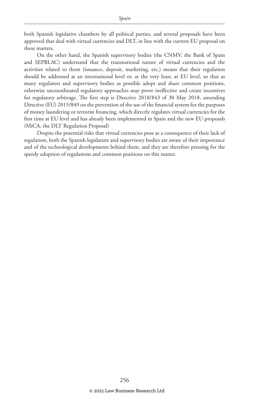both Spanish legislative chambers by all political parties, and several proposals have been approved that deal with virtual currencies and DLT, in line with the current EU proposal on these matters.

On the other hand, the Spanish supervisory bodies (the CNMV, the Bank of Spain and SEPBLAC) understand that the transnational nature of virtual currencies and the activities related to them (issuance, deposit, marketing, etc.) means that their regulation should be addressed at an international level or, at the very least, at EU level, so that as many regulators and supervisory bodies as possible adopt and share common positions, otherwise uncoordinated regulatory approaches may prove ineffective and create incentives for regulatory arbitrage. The first step is Directive 2018/843 of 30 May 2018, amending Directive (EU) 2015/849 on the prevention of the use of the financial system for the purposes of money laundering or terrorist financing, which directly regulates virtual currencies for the first time at EU level and has already been implemented in Spain and the new EU proposals (MiCA, the DLT Regulation Proposal)

Despite the potential risks that virtual currencies pose as a consequence of their lack of regulation, both the Spanish legislature and supervisory bodies are aware of their importance and of the technological developments behind them, and they are therefore pressing for the speedy adoption of regulations and common positions on this matter.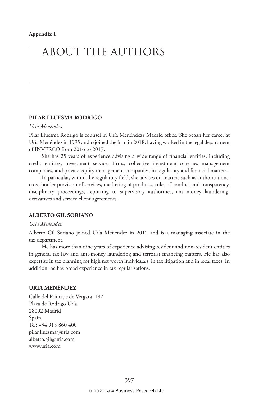## ABOUT THE AUTHORS

#### **PILAR LLUESMA RODRIGO**

#### *Uría Menéndez*

Pilar Lluesma Rodrigo is counsel in Uría Menéndez's Madrid office. She began her career at Uría Menéndez in 1995 and rejoined the firm in 2018, having worked in the legal department of INVERCO from 2016 to 2017.

She has 25 years of experience advising a wide range of financial entities, including credit entities, investment services firms, collective investment schemes management companies, and private equity management companies, in regulatory and financial matters.

In particular, within the regulatory field, she advises on matters such as authorisations, cross-border provision of services, marketing of products, rules of conduct and transparency, disciplinary proceedings, reporting to supervisory authorities, anti-money laundering, derivatives and service client agreements.

#### **ALBERTO GIL SORIANO**

#### *Uría Menéndez*

Alberto Gil Soriano joined Uría Menéndez in 2012 and is a managing associate in the tax department.

He has more than nine years of experience advising resident and non-resident entities in general tax law and anti-money laundering and terrorist financing matters. He has also expertise in tax planning for high net worth individuals, in tax litigation and in local taxes. In addition, he has broad experience in tax regularisations.

#### **URÍA MENÉNDEZ**

Calle del Príncipe de Vergara, 187 Plaza de Rodrigo Uría 28002 Madrid Spain Tel: +34 915 860 400 pilar.lluesma@uria.com alberto.gil@uria.com www.uria.com